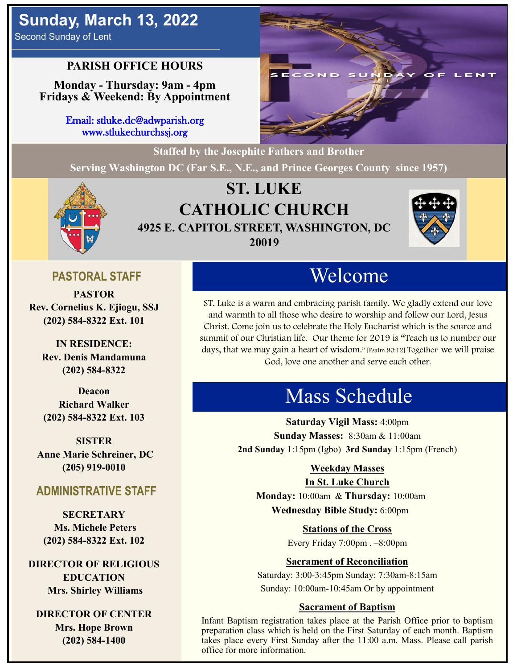# **Sunday, March 13, 2022**

Second Sunday of Lent

## **PARISH OFFICE HOURS**

**Monday - Thursday: 9am - 4pm Fridays & Weekend: By Appointment**

> Email: stluke.dc@adwparish.org www.stlukechurchssj.org



**Serving Washington DC (Far S.E., N.E., and Prince Georges County since 1957)**



## **ST. LUKE CATHOLIC CHURCH 4925 E. CAPITOL STREET, WASHINGTON, DC 20019**



## **PASTORAL STAFF**

**PASTOR Rev. Cornelius K. Ejiogu, SSJ (202) 584-8322 Ext. 101**

**IN RESIDENCE: Rev. Denis Mandamuna (202) 584-8322** 

**Deacon Richard Walker (202) 584-8322 Ext. 103**

**SISTER Anne Marie Schreiner, DC (205) 919-0010**

### **ADMINISTRATIVE STAFF**

**SECRETARY Ms. Michele Peters (202) 584-8322 Ext. 102**

**DIRECTOR OF RELIGIOUS EDUCATION Mrs. Shirley Williams**

**DIRECTOR OF CENTER Mrs. Hope Brown (202) 584-1400**

# Welcome

ST. Luke is a warm and embracing parish family. We gladly extend our love and warmth to all those who desire to worship and follow our Lord, Jesus Christ. Come join us to celebrate the Holy Eucharist which is the source and summit of our Christian life. Our theme for 2019 is "Teach us to number our days, that we may gain a heart of wisdom." [Psalm 90:12] Together we will praise God, love one another and serve each other.

# Mass Schedule

**Saturday Vigil Mass:** 4:00pm **Sunday Masses:** 8:30am & 11:00am **2nd Sunday** 1:15pm (Igbo) **3rd Sunday** 1:15pm (French)

#### **Weekday Masses**

#### **In St. Luke Church**

**Monday:** 10:00am & **Thursday:** 10:00am **Wednesday Bible Study:** 6:00pm

**Stations of the Cross**

Every Friday 7:00pm . –8:00pm

#### **Sacrament of Reconciliation**

Saturday: 3:00-3:45pm Sunday: 7:30am-8:15am Sunday: 10:00am-10:45am Or by appointment

#### **Sacrament of Baptism**

Infant Baptism registration takes place at the Parish Office prior to baptism preparation class which is held on the First Saturday of each month. Baptism takes place every First Sunday after the 11:00 a.m. Mass. Please call parish office for more information.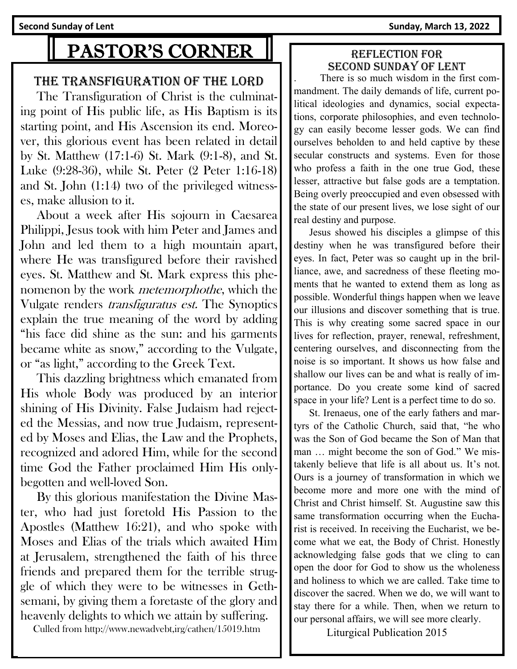**Second Sunday of Lent Sunday, March 13, 2022** 

# PASTOR'S CORNER

#### THE TRANSFIGURATION OF THE LORD

 The Transfiguration of Christ is the culminating point of His public life, as His Baptism is its starting point, and His Ascension its end. Moreover, this glorious event has been related in detail by St. Matthew (17:1-6) St. Mark (9:1-8), and St. Luke (9:28-36), while St. Peter (2 Peter 1:16-18) and St. John (1:14) two of the privileged witnesses, make allusion to it.

 About a week after His sojourn in Caesarea Philippi, Jesus took with him Peter and James and John and led them to a high mountain apart, where He was transfigured before their ravished eyes. St. Matthew and St. Mark express this phenomenon by the work metemorphothe, which the Vulgate renders transfiguratus est. The Synoptics explain the true meaning of the word by adding "his face did shine as the sun: and his garments became white as snow," according to the Vulgate, or "as light," according to the Greek Text.

 This dazzling brightness which emanated from His whole Body was produced by an interior shining of His Divinity. False Judaism had rejected the Messias, and now true Judaism, represented by Moses and Elias, the Law and the Prophets, recognized and adored Him, while for the second time God the Father proclaimed Him His onlybegotten and well-loved Son.

 By this glorious manifestation the Divine Master, who had just foretold His Passion to the Apostles (Matthew 16:21), and who spoke with Moses and Elias of the trials which awaited Him at Jerusalem, strengthened the faith of his three friends and prepared them for the terrible struggle of which they were to be witnesses in Gethsemani, by giving them a foretaste of the glory and heavenly delights to which we attain by suffering.

Culled from http://www.newadvebt,irg/cathen/15019.htm

#### Reflection for second Sunday of lent

. There is so much wisdom in the first commandment. The daily demands of life, current political ideologies and dynamics, social expectations, corporate philosophies, and even technology can easily become lesser gods. We can find ourselves beholden to and held captive by these secular constructs and systems. Even for those who profess a faith in the one true God, these lesser, attractive but false gods are a temptation. Being overly preoccupied and even obsessed with the state of our present lives, we lose sight of our real destiny and purpose.

 Jesus showed his disciples a glimpse of this destiny when he was transfigured before their eyes. In fact, Peter was so caught up in the brilliance, awe, and sacredness of these fleeting moments that he wanted to extend them as long as possible. Wonderful things happen when we leave our illusions and discover something that is true. This is why creating some sacred space in our lives for reflection, prayer, renewal, refreshment, centering ourselves, and disconnecting from the noise is so important. It shows us how false and shallow our lives can be and what is really of importance. Do you create some kind of sacred space in your life? Lent is a perfect time to do so.

 St. Irenaeus, one of the early fathers and martyrs of the Catholic Church, said that, "he who was the Son of God became the Son of Man that man … might become the son of God." We mistakenly believe that life is all about us. It's not. Ours is a journey of transformation in which we become more and more one with the mind of Christ and Christ himself. St. Augustine saw this same transformation occurring when the Eucharist is received. In receiving the Eucharist, we become what we eat, the Body of Christ. Honestly acknowledging false gods that we cling to can open the door for God to show us the wholeness and holiness to which we are called. Take time to discover the sacred. When we do, we will want to stay there for a while. Then, when we return to our personal affairs, we will see more clearly.

Liturgical Publication 2015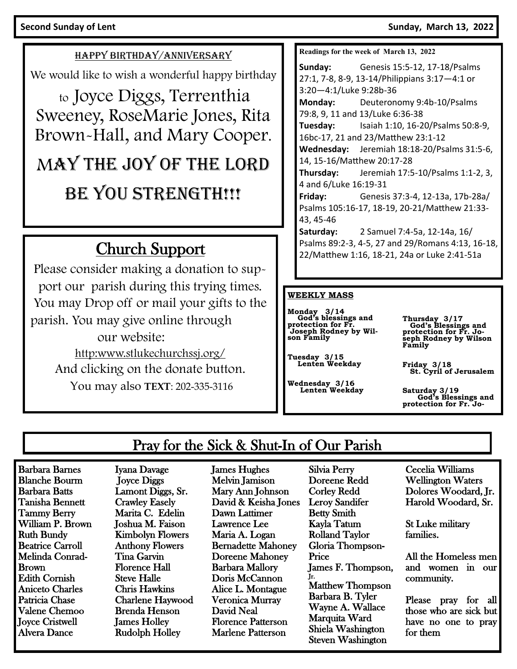#### **Second Sunday of Lent Sunday, March 13, 2022**

#### HAPPY BIRTHDAY/ANNIVERSARY

We would like to wish a wonderful happy birthday

to Joyce Diggs, Terrenthia Sweeney, RoseMarie Jones, Rita Brown-Hall, and Mary Cooper.

# MAY THE JOY OF THE LORD BE YOU STRENGTH!!!

# Church Support

Please consider making a donation to support our parish during this trying times. You may Drop off or mail your gifts to the parish. You may give online through our website: http:www.stlukechurchssj.org/ And clicking on the donate button. You may also **TEXT**: 202-335-3116

**Readings for the week of March 13, 2022**

**Sunday:** Genesis 15:5-12, 17-18/Psalms 27:1, 7-8, 8-9, 13-14/Philippians 3:17—4:1 or 3:20—4:1/Luke 9:28b-36 **Monday:** Deuteronomy 9:4b-10/Psalms 79:8, 9, 11 and 13/Luke 6:36-38 **Tuesday:** Isaiah 1:10, 16-20/Psalms 50:8-9, 16bc-17, 21 and 23/Matthew 23:1-12 **Wednesday:** Jeremiah 18:18-20/Psalms 31:5-6, 14, 15-16/Matthew 20:17-28 **Thursday:** Jeremiah 17:5-10/Psalms 1:1-2, 3, 4 and 6/Luke 16:19-31 **Friday:** Genesis 37:3-4, 12-13a, 17b-28a/ Psalms 105:16-17, 18-19, 20-21/Matthew 21:33- 43, 45-46 **Saturday:** 2 Samuel 7:4-5a, 12-14a, 16/ Psalms 89:2-3, 4-5, 27 and 29/Romans 4:13, 16-18, 22/Matthew 1:16, 18-21, 24a or Luke 2:41-51a

#### **WEEKLY MASS**

**Monday 3/14 God's blessings and protection for Fr. Joseph Rodney by Wil-son Family**

**Tuesday 3/15 Lenten Weekday**

**Wednesday 3/16 Lenten Weekday**

**Thursday 3/17 God's Blessings and protection for Fr. Jo-seph Rodney by Wilson Family**

**Friday 3/18 St. Cyril of Jerusalem** 

**Saturday 3/19 God's Blessings and protection for Fr. Jo-**

## Pray for the Sick & Shut-In of Our Parish

Barbara Barnes Blanche Bourm Barbara Batts Tanisha Bennett Tammy Berry William P. Brown Ruth Bundy Beatrice Carroll Melinda Conrad-Brown Edith Cornish Aniceto Charles Patricia Chase Valene Chemoo Joyce Cristwell Alvera Dance

Iyana Davage Joyce Diggs Lamont Diggs, Sr. Crawley Easely Marita C. Edelin Joshua M. Faison Kimbolyn Flowers Anthony Flowers Tina Garvin Florence Hall Steve Halle Chris Hawkins Charlene Haywood Brenda Henson James Holley Rudolph Holley

James Hughes Melvin Jamison Mary Ann Johnson David & Keisha Jones Dawn Lattimer Lawrence Lee Maria A. Logan Bernadette Mahoney Doreene Mahoney Barbara Mallory Doris McCannon Alice L. Montague Veronica Murray David Neal Florence Patterson Marlene Patterson

Silvia Perry Doreene Redd Corley Redd Leroy Sandifer Betty Smith Kayla Tatum Rolland Taylor Gloria Thompson-Price James F. Thompson, Jr. Matthew Thompson Barbara B. Tyler Wayne A. Wallace Marquita Ward Shiela Washington Steven Washington

Cecelia Williams Wellington Waters Dolores Woodard, Jr. Harold Woodard, Sr.

St Luke military families.

All the Homeless men and women in our community.

Please pray for all those who are sick but have no one to pray for them